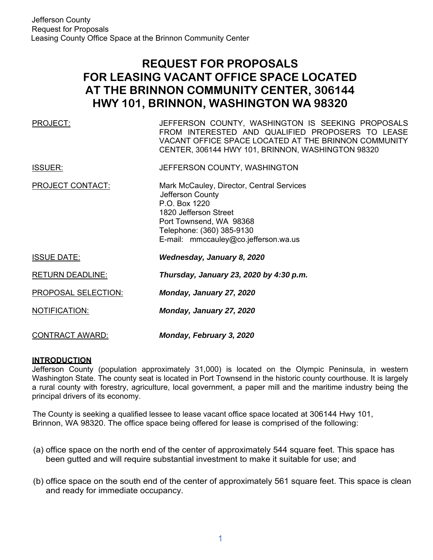# **REQUEST FOR PROPOSALS FOR LEASING VACANT OFFICE SPACE LOCATED AT THE BRINNON COMMUNITY CENTER, 306144 HWY 101, BRINNON, WASHINGTON WA 98320**

| PROJECT:                   | JEFFERSON COUNTY, WASHINGTON IS SEEKING PROPOSALS<br>FROM INTERESTED AND QUALIFIED PROPOSERS TO LEASE<br>VACANT OFFICE SPACE LOCATED AT THE BRINNON COMMUNITY<br>CENTER, 306144 HWY 101, BRINNON, WASHINGTON 98320 |
|----------------------------|--------------------------------------------------------------------------------------------------------------------------------------------------------------------------------------------------------------------|
| <b>ISSUER:</b>             | JEFFERSON COUNTY, WASHINGTON                                                                                                                                                                                       |
| <b>PROJECT CONTACT:</b>    | Mark McCauley, Director, Central Services<br>Jefferson County<br>P.O. Box 1220<br>1820 Jefferson Street<br>Port Townsend, WA 98368<br>Telephone: (360) 385-9130<br>E-mail: mmccauley@co.jefferson.wa.us            |
| <b>ISSUE DATE:</b>         | Wednesday, January 8, 2020                                                                                                                                                                                         |
| <b>RETURN DEADLINE:</b>    | Thursday, January 23, 2020 by 4:30 p.m.                                                                                                                                                                            |
| <b>PROPOSAL SELECTION:</b> | Monday, January 27, 2020                                                                                                                                                                                           |
| NOTIFICATION:              | Monday, January 27, 2020                                                                                                                                                                                           |
| <b>CONTRACT AWARD:</b>     | Monday, February 3, 2020                                                                                                                                                                                           |

### **INTRODUCTION**

Jefferson County (population approximately 31,000) is located on the Olympic Peninsula, in western Washington State. The county seat is located in Port Townsend in the historic county courthouse. It is largely a rural county with forestry, agriculture, local government, a paper mill and the maritime industry being the principal drivers of its economy.

The County is seeking a qualified lessee to lease vacant office space located at 306144 Hwy 101, Brinnon, WA 98320. The office space being offered for lease is comprised of the following:

- (a) office space on the north end of the center of approximately 544 square feet. This space has been gutted and will require substantial investment to make it suitable for use; and
- (b) office space on the south end of the center of approximately 561 square feet. This space is clean and ready for immediate occupancy.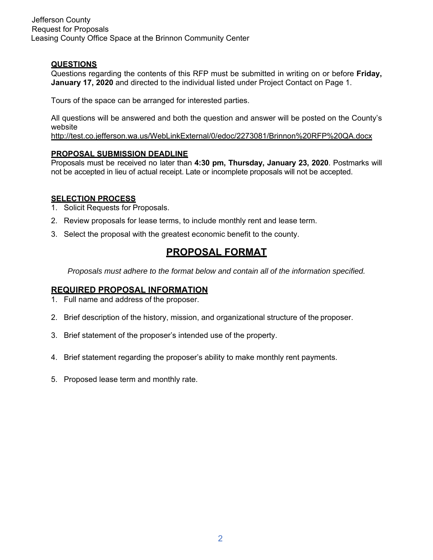Jefferson County Request for Proposals Leasing County Office Space at the Brinnon Community Center

### **QUESTIONS**

Questions regarding the contents of this RFP must be submitted in writing on or before **Friday, January 17, 2020** and directed to the individual listed under Project Contact on Page 1.

Tours of the space can be arranged for interested parties.

All questions will be answered and both the question and answer will be posted on the County's website

http://test.co.jefferson.wa.us/WebLinkExternal/0/edoc/2273081/Brinnon%20RFP%20QA.docx

### **PROPOSAL SUBMISSION DEADLINE**

Proposals must be received no later than **4:30 pm, Thursday, January 23, 2020**. Postmarks will not be accepted in lieu of actual receipt. Late or incomplete proposals will not be accepted.

### **SELECTION PROCESS**

- 1. Solicit Requests for Proposals.
- 2. Review proposals for lease terms, to include monthly rent and lease term.
- 3. Select the proposal with the greatest economic benefit to the county.

# **PROPOSAL FORMAT**

*Proposals must adhere to the format below and contain all of the information specified.* 

### **REQUIRED PROPOSAL INFORMATION**

- 1. Full name and address of the proposer.
- 2. Brief description of the history, mission, and organizational structure of the proposer.
- 3. Brief statement of the proposer's intended use of the property.
- 4. Brief statement regarding the proposer's ability to make monthly rent payments.
- 5. Proposed lease term and monthly rate.